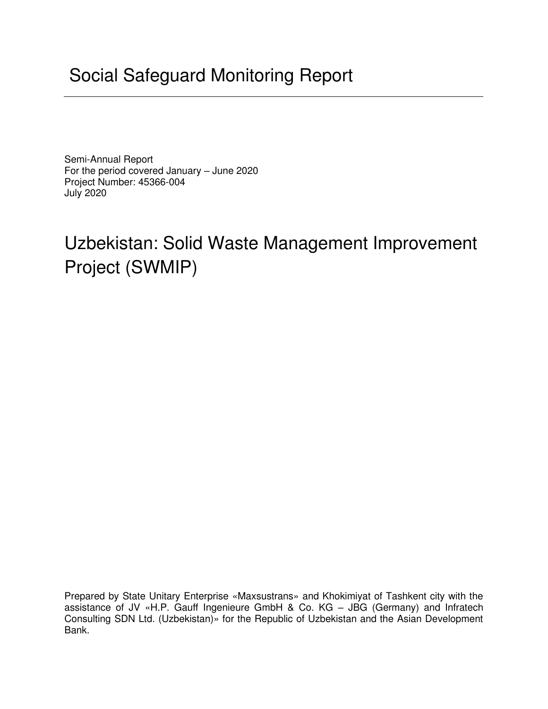# Social Safeguard Monitoring Report

Semi-Annual Report For the period covered January – June 2020 Project Number: 45366-004 July 2020

# Uzbekistan: Solid Waste Management Improvement Project (SWMIP)

Prepared by State Unitary Enterprise «Maxsustrans» and Khokimiyat of Tashkent city with the assistance of JV «H.P. Gauff Ingenieure GmbH & Co. KG – JBG (Germany) and Infratech Consulting SDN Ltd. (Uzbekistan)» for the Republic of Uzbekistan and the Asian Development Bank.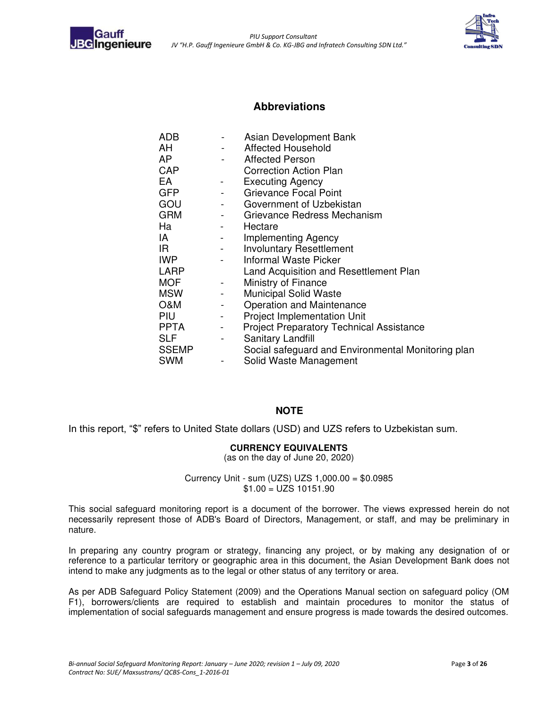<span id="page-1-0"></span>



#### **Abbreviations**

| <b>ADB</b>   |                          | Asian Development Bank                             |
|--------------|--------------------------|----------------------------------------------------|
| AH           |                          | Affected Household                                 |
| AP           |                          | <b>Affected Person</b>                             |
| CAP          |                          | <b>Correction Action Plan</b>                      |
| EA           |                          | <b>Executing Agency</b>                            |
| <b>GFP</b>   |                          | <b>Grievance Focal Point</b>                       |
| GOU          | $\overline{\phantom{a}}$ | Government of Uzbekistan                           |
| <b>GRM</b>   |                          | Grievance Redress Mechanism                        |
| Ha           |                          | Hectare                                            |
| IA           |                          | Implementing Agency                                |
| IR.          |                          | <b>Involuntary Resettlement</b>                    |
| <b>IWP</b>   |                          | <b>Informal Waste Picker</b>                       |
| <b>LARP</b>  |                          | Land Acquisition and Resettlement Plan             |
| <b>MOF</b>   | $\blacksquare$           | Ministry of Finance                                |
| <b>MSW</b>   |                          | <b>Municipal Solid Waste</b>                       |
| O&M          | $\overline{\phantom{a}}$ | Operation and Maintenance                          |
| PIU          |                          | <b>Project Implementation Unit</b>                 |
| <b>PPTA</b>  | $\blacksquare$           | <b>Project Preparatory Technical Assistance</b>    |
| <b>SLF</b>   | -                        | Sanitary Landfill                                  |
| <b>SSEMP</b> |                          | Social safeguard and Environmental Monitoring plan |
| <b>SWM</b>   |                          | Solid Waste Management                             |

#### **NOTE**

In this report, "\$" refers to United State dollars (USD) and UZS refers to Uzbekistan sum.

#### **CURRENCY EQUIVALENTS**

(as on the day of June 20, 2020)

Currency Unit - sum (UZS) UZS 1,000.00 = \$0.0985  $$1.00 = UZS 10151.90$ 

This social safeguard monitoring report is a document of the borrower. The views expressed herein do not necessarily represent those of ADB's Board of Directors, Management, or staff, and may be preliminary in nature.

In preparing any country program or strategy, financing any project, or by making any designation of or reference to a particular territory or geographic area in this document, the Asian Development Bank does not intend to make any judgments as to the legal or other status of any territory or area.

As per ADB Safeguard Policy Statement (2009) and the Operations Manual section on safeguard policy (OM F1), borrowers/clients are required to establish and maintain procedures to monitor the status of implementation of social safeguards management and ensure progress is made towards the desired outcomes.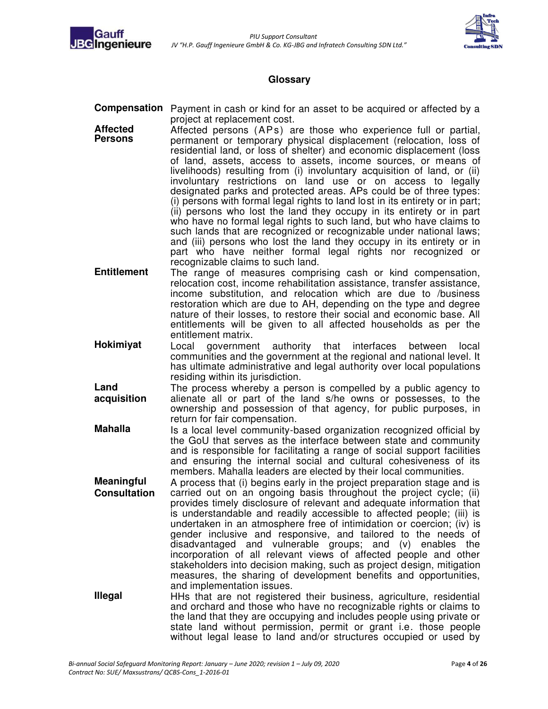



#### **Glossary**

- <span id="page-2-0"></span>**Compensation** Payment in cash or kind for an asset to be acquired or affected by a project at replacement cost.
- **Affected Persons**  Affected persons (APs) are those who experience full or partial, permanent or temporary physical displacement (relocation, loss of residential land, or loss of shelter) and economic displacement (loss of land, assets, access to assets, income sources, or means of livelihoods) resulting from (i) involuntary acquisition of land, or (ii) involuntary restrictions on land use or on access to legally designated parks and protected areas. APs could be of three types: (i) persons with formal legal rights to land lost in its entirety or in part; (ii) persons who lost the land they occupy in its entirety or in part who have no formal legal rights to such land, but who have claims to such lands that are recognized or recognizable under national laws; and (iii) persons who lost the land they occupy in its entirety or in part who have neither formal legal rights nor recognized or recognizable claims to such land.
- **Entitlement** The range of measures comprising cash or kind compensation, relocation cost, income rehabilitation assistance, transfer assistance, income substitution, and relocation which are due to /business restoration which are due to AH, depending on the type and degree nature of their losses, to restore their social and economic base. All entitlements will be given to all affected households as per the entitlement matrix.
- **Hokimiyat** Local government authority that interfaces between local communities and the government at the regional and national level. It has ultimate administrative and legal authority over local populations residing within its jurisdiction.
- **Land acquisition**  The process whereby a person is compelled by a public agency to alienate all or part of the land s/he owns or possesses, to the ownership and possession of that agency, for public purposes, in return for fair compensation.
- **Mahalla Is a local level community-based organization recognized official by** the GoU that serves as the interface between state and community and is responsible for facilitating a range of social support facilities and ensuring the internal social and cultural cohesiveness of its members. Mahalla leaders are elected by their local communities.
- **Meaningful Consultation**  A process that (i) begins early in the project preparation stage and is carried out on an ongoing basis throughout the project cycle; (ii) provides timely disclosure of relevant and adequate information that is understandable and readily accessible to affected people; (iii) is undertaken in an atmosphere free of intimidation or coercion; (iv) is gender inclusive and responsive, and tailored to the needs of disadvantaged and vulnerable groups; and (v) enables the incorporation of all relevant views of affected people and other stakeholders into decision making, such as project design, mitigation measures, the sharing of development benefits and opportunities, and implementation issues.
- **Illegal** HHs that are not registered their business, agriculture, residential and orchard and those who have no recognizable rights or claims to the land that they are occupying and includes people using private or state land without permission, permit or grant i.e. those people without legal lease to land and/or structures occupied or used by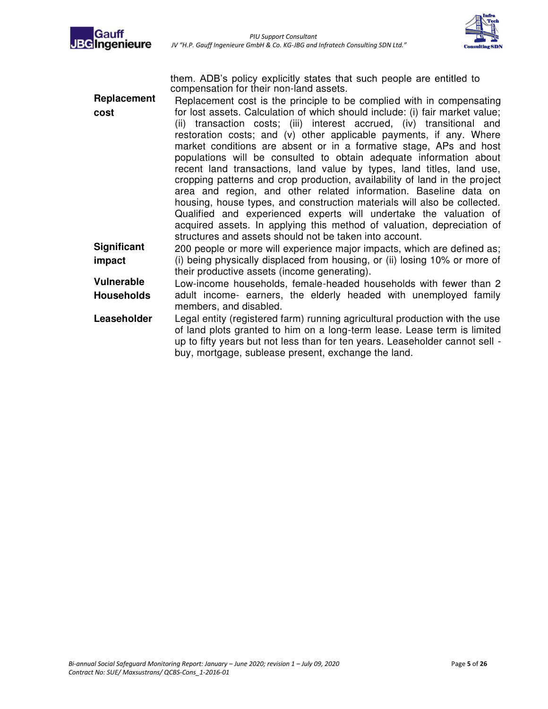



them. ADB's policy explicitly states that such people are entitled to compensation for their non-land assets.

- **Replacement cost** Replacement cost is the principle to be complied with in compensating for lost assets. Calculation of which should include: (i) fair market value; (ii) transaction costs; (iii) interest accrued, (iv) transitional and restoration costs; and (v) other applicable payments, if any. Where market conditions are absent or in a formative stage, APs and host populations will be consulted to obtain adequate information about recent land transactions, land value by types, land titles, land use, cropping patterns and crop production, availability of land in the project area and region, and other related information. Baseline data on housing, house types, and construction materials will also be collected. Qualified and experienced experts will undertake the valuation of acquired assets. In applying this method of valuation, depreciation of structures and assets should not be taken into account. **Significant impact**  200 people or more will experience major impacts, which are defined as; (i) being physically displaced from housing, or (ii) losing 10% or more of their productive assets (income generating).
- **Vulnerable Households**  Low-income households, female-headed households with fewer than 2 adult income- earners, the elderly headed with unemployed family members, and disabled.
- **Leaseholder** Legal entity (registered farm) running agricultural production with the use of land plots granted to him on a long-term lease. Lease term is limited up to fifty years but not less than for ten years. Leaseholder cannot sell buy, mortgage, sublease present, exchange the land.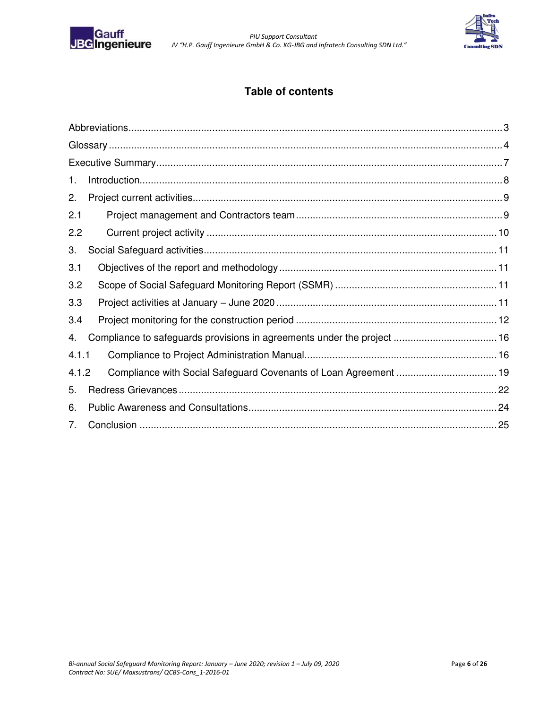

 *PIU Support Consultant JV "H.P. Gauff Ingenieure GmbH & Co. KG-JBG and Infratech Consulting SDN Ltd.*"



### **Table of contents**

| 1.    |  |
|-------|--|
| 2.    |  |
| 2.1   |  |
| 2.2   |  |
| 3.    |  |
| 3.1   |  |
| 3.2   |  |
| 3.3   |  |
| 3.4   |  |
| 4.    |  |
| 4.1.1 |  |
| 4.1.2 |  |
| 5.    |  |
| 6.    |  |
| 7.    |  |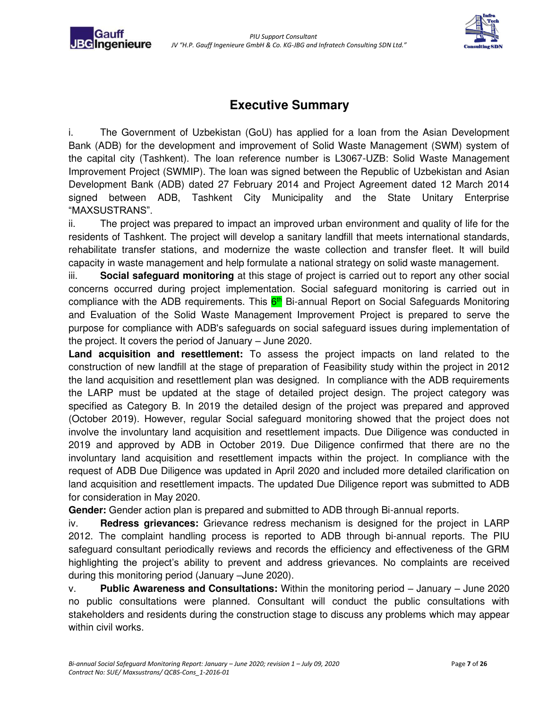Gauf **BGIngenieure** 



### **Executive Summary**

<span id="page-5-0"></span>i. The Government of Uzbekistan (GoU) has applied for a loan from the Asian Development Bank (ADB) for the development and improvement of Solid Waste Management (SWM) system of the capital city (Tashkent). The loan reference number is L3067-UZB: Solid Waste Management Improvement Project (SWMIP). The loan was signed between the Republic of Uzbekistan and Asian Development Bank (ADB) dated 27 February 2014 and Project Agreement dated 12 March 2014 signed between ADB, Tashkent City Municipality and the State Unitary Enterprise "MAXSUSTRANS".

ii. The project was prepared to impact an improved urban environment and quality of life for the residents of Tashkent. The project will develop a sanitary landfill that meets international standards, rehabilitate transfer stations, and modernize the waste collection and transfer fleet. It will build capacity in waste management and help formulate a national strategy on solid waste management.

iii. **Social safeguard monitoring** at this stage of project is carried out to report any other social concerns occurred during project implementation. Social safeguard monitoring is carried out in compliance with the ADB requirements. This  $6<sup>th</sup>$  Bi-annual Report on Social Safeguards Monitoring and Evaluation of the Solid Waste Management Improvement Project is prepared to serve the purpose for compliance with ADB's safeguards on social safeguard issues during implementation of the project. It covers the period of January – June 2020.

**Land acquisition and resettlement:** To assess the project impacts on land related to the construction of new landfill at the stage of preparation of Feasibility study within the project in 2012 the land acquisition and resettlement plan was designed. In compliance with the ADB requirements the LARP must be updated at the stage of detailed project design. The project category was specified as Category B. In 2019 the detailed design of the project was prepared and approved (October 2019). However, regular Social safeguard monitoring showed that the project does not involve the involuntary land acquisition and resettlement impacts. Due Diligence was conducted in 2019 and approved by ADB in October 2019. Due Diligence confirmed that there are no the involuntary land acquisition and resettlement impacts within the project. In compliance with the request of ADB Due Diligence was updated in April 2020 and included more detailed clarification on land acquisition and resettlement impacts. The updated Due Diligence report was submitted to ADB for consideration in May 2020.

**Gender:** Gender action plan is prepared and submitted to ADB through Bi-annual reports.

iv. **Redress grievances:** Grievance redress mechanism is designed for the project in LARP 2012. The complaint handling process is reported to ADB through bi-annual reports. The PIU safeguard consultant periodically reviews and records the efficiency and effectiveness of the GRM highlighting the project's ability to prevent and address grievances. No complaints are received during this monitoring period (January –June 2020).

v. **Public Awareness and Consultations:** Within the monitoring period – January – June 2020 no public consultations were planned. Consultant will conduct the public consultations with stakeholders and residents during the construction stage to discuss any problems which may appear within civil works.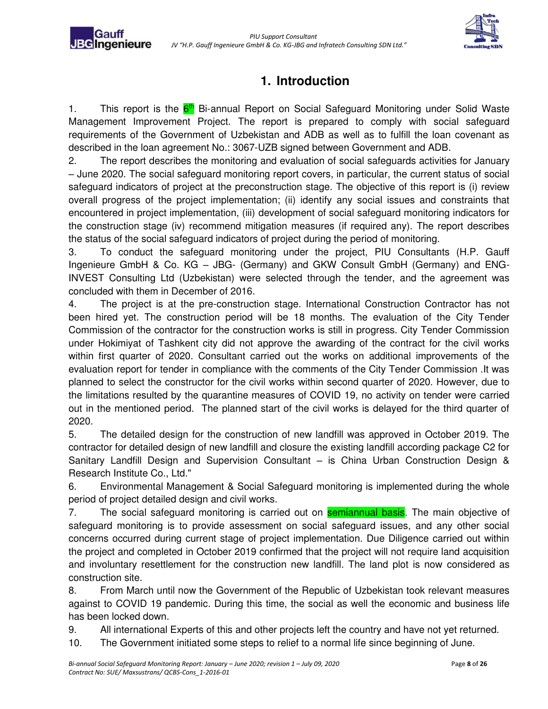Gaufi **JBG**Ingenieure



# **1. Introduction**

<span id="page-6-0"></span>1. This report is the 6<sup>th</sup> Bi-annual Report on Social Safeguard Monitoring under Solid Waste Management Improvement Project. The report is prepared to comply with social safeguard requirements of the Government of Uzbekistan and ADB as well as to fulfill the loan covenant as described in the loan agreement No.: 3067-UZB signed between Government and ADB.

2. The report describes the monitoring and evaluation of social safeguards activities for January – June 2020. The social safeguard monitoring report covers, in particular, the current status of social safeguard indicators of project at the preconstruction stage. The objective of this report is (i) review overall progress of the project implementation; (ii) identify any social issues and constraints that encountered in project implementation, (iii) development of social safeguard monitoring indicators for the construction stage (iv) recommend mitigation measures (if required any). The report describes the status of the social safeguard indicators of project during the period of monitoring.

3. To conduct the safeguard monitoring under the project, PIU Consultants (H.P. Gauff Ingenieure GmbH & Co. KG – JBG- (Germany) and GKW Consult GmbH (Germany) and ENG-INVEST Consulting Ltd (Uzbekistan) were selected through the tender, and the agreement was concluded with them in December of 2016.

4. The project is at the pre-construction stage. International Construction Contractor has not been hired yet. The construction period will be 18 months. The evaluation of the City Tender Commission of the contractor for the construction works is still in progress. City Tender Commission under Hokimiyat of Tashkent city did not approve the awarding of the contract for the civil works within first quarter of 2020. Consultant carried out the works on additional improvements of the evaluation report for tender in compliance with the comments of the City Tender Commission .It was planned to select the constructor for the civil works within second quarter of 2020. However, due to the limitations resulted by the quarantine measures of COVID 19, no activity on tender were carried out in the mentioned period. The planned start of the civil works is delayed for the third quarter of 2020.

5. The detailed design for the construction of new landfill was approved in October 2019. The contractor for detailed design of new landfill and closure the existing landfill according package C2 for Sanitary Landfill Design and Supervision Consultant – is China Urban Construction Design & Research Institute Co., Ltd."

6. Environmental Management & Social Safeguard monitoring is implemented during the whole period of project detailed design and civil works.

7. The social safeguard monitoring is carried out on **semiannual basis**. The main objective of safeguard monitoring is to provide assessment on social safeguard issues, and any other social concerns occurred during current stage of project implementation. Due Diligence carried out within the project and completed in October 2019 confirmed that the project will not require land acquisition and involuntary resettlement for the construction new landfill. The land plot is now considered as construction site.

8. From March until now the Government of the Republic of Uzbekistan took relevant measures against to COVID 19 pandemic. During this time, the social as well the economic and business life has been locked down.

9. All international Experts of this and other projects left the country and have not yet returned.

10. The Government initiated some steps to relief to a normal life since beginning of June.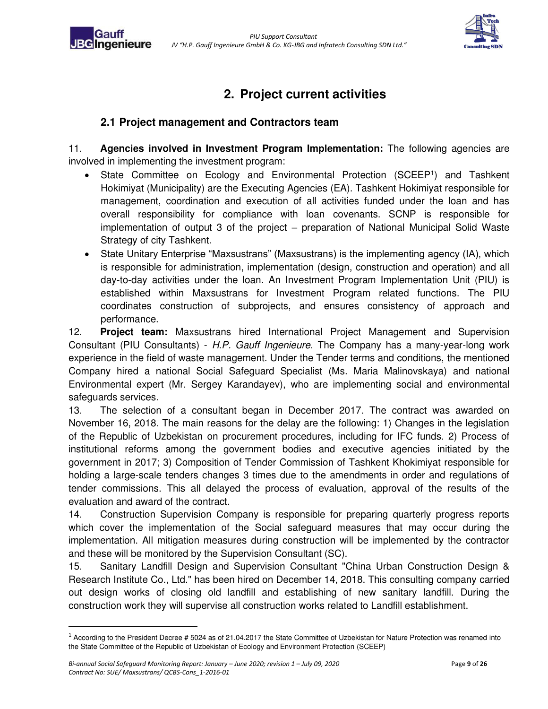

## **2. Project current activities**

#### <span id="page-7-0"></span>**2.1 Project management and Contractors team**

**BGIngenieure** 

<span id="page-7-1"></span>11. **Agencies involved in Investment Program Implementation:** The following agencies are involved in implementing the investment program:

- State Committee on Ecology and Environmental Protection (SCEEP<sup>1</sup>) and Tashkent Hokimiyat (Municipality) are the Executing Agencies (EA). Tashkent Hokimiyat responsible for management, coordination and execution of all activities funded under the loan and has overall responsibility for compliance with loan covenants. SCNP is responsible for implementation of output 3 of the project – preparation of National Municipal Solid Waste Strategy of city Tashkent.
- State Unitary Enterprise "Maxsustrans" (Maxsustrans) is the implementing agency (IA), which is responsible for administration, implementation (design, construction and operation) and all day-to-day activities under the loan. An Investment Program Implementation Unit (PIU) is established within Maxsustrans for Investment Program related functions. The PIU coordinates construction of subprojects, and ensures consistency of approach and performance.

12. **Project team:** Maxsustrans hired International Project Management and Supervision Consultant (PIU Consultants) - H.P. Gauff Ingenieure. The Company has a many-year-long work experience in the field of waste management. Under the Tender terms and conditions, the mentioned Company hired a national Social Safeguard Specialist (Ms. Maria Malinovskaya) and national Environmental expert (Mr. Sergey Karandayev), who are implementing social and environmental safeguards services.

13. The selection of a consultant began in December 2017. The contract was awarded on November 16, 2018. The main reasons for the delay are the following: 1) Changes in the legislation of the Republic of Uzbekistan on procurement procedures, including for IFC funds. 2) Process of institutional reforms among the government bodies and executive agencies initiated by the government in 2017; 3) Composition of Tender Commission of Tashkent Khokimiyat responsible for holding a large-scale tenders changes 3 times due to the amendments in order and regulations of tender commissions. This all delayed the process of evaluation, approval of the results of the evaluation and award of the contract.

14. Construction Supervision Company is responsible for preparing quarterly progress reports which cover the implementation of the Social safeguard measures that may occur during the implementation. All mitigation measures during construction will be implemented by the contractor and these will be monitored by the Supervision Consultant (SC).

15. Sanitary Landfill Design and Supervision Consultant "China Urban Construction Design & Research Institute Co., Ltd." has been hired on December 14, 2018. This consulting company carried out design works of closing old landfill and establishing of new sanitary landfill. During the construction work they will supervise all construction works related to Landfill establishment.

 $1$  According to the President Decree # 5024 as of 21.04.2017 the State Committee of Uzbekistan for Nature Protection was renamed into the State Committee of the Republic of Uzbekistan of Ecology and Environment Protection (SCEEP)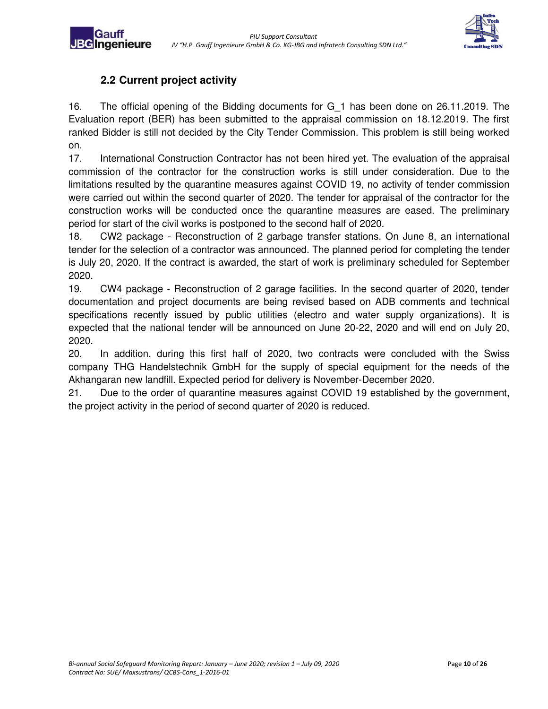

### **2.2 Current project activity**

**JBC**Ingenieure

<span id="page-8-0"></span>16. The official opening of the Bidding documents for G\_1 has been done on 26.11.2019. The Evaluation report (BER) has been submitted to the appraisal commission on 18.12.2019. The first ranked Bidder is still not decided by the City Tender Commission. This problem is still being worked on.

17. International Construction Contractor has not been hired yet. The evaluation of the appraisal commission of the contractor for the construction works is still under consideration. Due to the limitations resulted by the quarantine measures against COVID 19, no activity of tender commission were carried out within the second quarter of 2020. The tender for appraisal of the contractor for the construction works will be conducted once the quarantine measures are eased. The preliminary period for start of the civil works is postponed to the second half of 2020.

18. CW2 package - Reconstruction of 2 garbage transfer stations. On June 8, an international tender for the selection of a contractor was announced. The planned period for completing the tender is July 20, 2020. If the contract is awarded, the start of work is preliminary scheduled for September 2020.

19. CW4 package - Reconstruction of 2 garage facilities. In the second quarter of 2020, tender documentation and project documents are being revised based on ADB comments and technical specifications recently issued by public utilities (electro and water supply organizations). It is expected that the national tender will be announced on June 20-22, 2020 and will end on July 20, 2020.

20. In addition, during this first half of 2020, two contracts were concluded with the Swiss company THG Handelstechnik GmbH for the supply of special equipment for the needs of the Akhangaran new landfill. Expected period for delivery is November-December 2020.

21. Due to the order of quarantine measures against COVID 19 established by the government, the project activity in the period of second quarter of 2020 is reduced.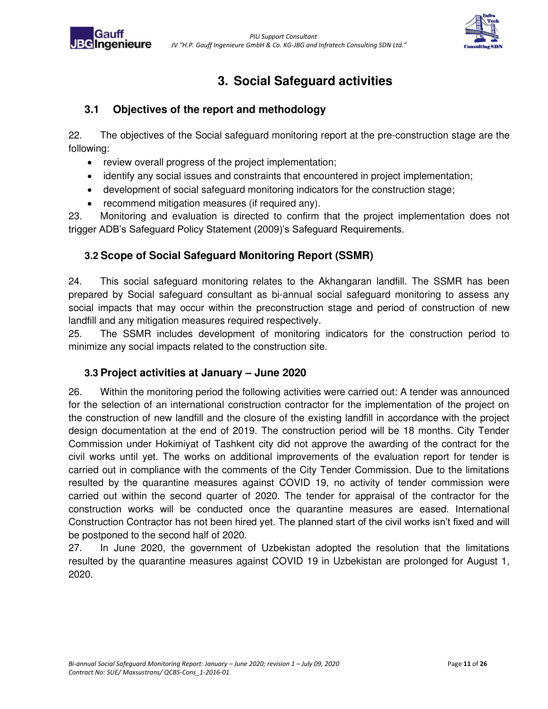

# **3. Social Safeguard activities**

### <span id="page-9-1"></span><span id="page-9-0"></span>**3.1 Objectives of the report and methodology**

22. The objectives of the Social safeguard monitoring report at the pre-construction stage are the following:

- review overall progress of the project implementation;
- identify any social issues and constraints that encountered in project implementation;
- development of social safeguard monitoring indicators for the construction stage;
- recommend mitigation measures (if required any).

23. Monitoring and evaluation is directed to confirm that the project implementation does not trigger ADB's Safeguard Policy Statement (2009)'s Safeguard Requirements.

### <span id="page-9-2"></span>**3.2 Scope of Social Safeguard Monitoring Report (SSMR)**

24. This social safeguard monitoring relates to the Akhangaran landfill. The SSMR has been prepared by Social safeguard consultant as bi-annual social safeguard monitoring to assess any social impacts that may occur within the preconstruction stage and period of construction of new landfill and any mitigation measures required respectively.

25. The SSMR includes development of monitoring indicators for the construction period to minimize any social impacts related to the construction site.

#### <span id="page-9-3"></span>**3.3 Project activities at January – June 2020**

26. Within the monitoring period the following activities were carried out: A tender was announced for the selection of an international construction contractor for the implementation of the project on the construction of new landfill and the closure of the existing landfill in accordance with the project design documentation at the end of 2019. The construction period will be 18 months. City Tender Commission under Hokimiyat of Tashkent city did not approve the awarding of the contract for the civil works until yet. The works on additional improvements of the evaluation report for tender is carried out in compliance with the comments of the City Tender Commission. Due to the limitations resulted by the quarantine measures against COVID 19, no activity of tender commission were carried out within the second quarter of 2020. The tender for appraisal of the contractor for the construction works will be conducted once the quarantine measures are eased. International Construction Contractor has not been hired yet. The planned start of the civil works isn't fixed and will be postponed to the second half of 2020.

27. In June 2020, the government of Uzbekistan adopted the resolution that the limitations resulted by the quarantine measures against COVID 19 in Uzbekistan are prolonged for August 1, 2020.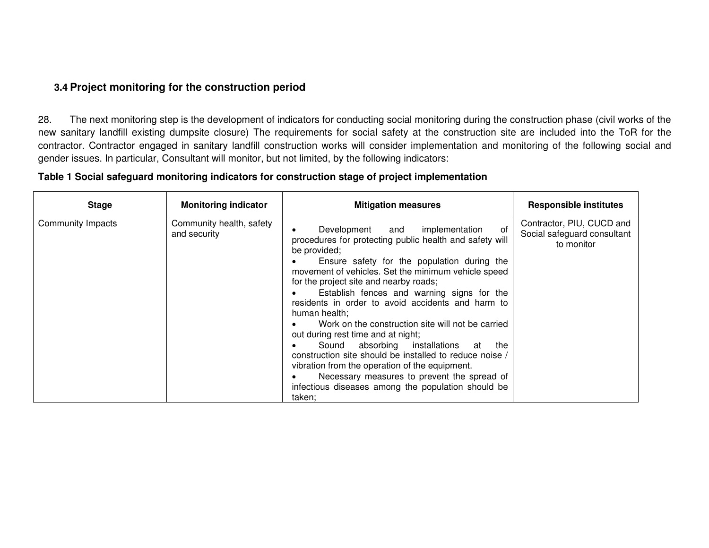#### **3.4 Project monitoring for the construction period**

28. The next monitoring step is the development of indicators for conducting social monitoring during the construction phase (civil works of the new sanitary landfill existing dumpsite closure) The requirements for social safety at the construction site are included into the ToR for the contractor. Contractor engaged in sanitary landfill construction works will consider implementation and monitoring of the following social and gender issues. In particular, Consultant will monitor, but not limited, by the following indicators:

#### **Table 1 Social safeguard monitoring indicators for construction stage of project implementation**

<span id="page-10-0"></span>

| <b>Stage</b>      | <b>Monitoring indicator</b>              | <b>Mitigation measures</b>                                                                                                                                                                                                                                                                                                                                                                                                                                                                                                                                                                                                                                                                                                                                     | <b>Responsible institutes</b>                                          |
|-------------------|------------------------------------------|----------------------------------------------------------------------------------------------------------------------------------------------------------------------------------------------------------------------------------------------------------------------------------------------------------------------------------------------------------------------------------------------------------------------------------------------------------------------------------------------------------------------------------------------------------------------------------------------------------------------------------------------------------------------------------------------------------------------------------------------------------------|------------------------------------------------------------------------|
| Community Impacts | Community health, safety<br>and security | of<br>implementation<br>Development<br>and<br>procedures for protecting public health and safety will<br>be provided;<br>Ensure safety for the population during the<br>movement of vehicles. Set the minimum vehicle speed<br>for the project site and nearby roads;<br>Establish fences and warning signs for the<br>residents in order to avoid accidents and harm to<br>human health;<br>Work on the construction site will not be carried<br>out during rest time and at night;<br>Sound absorbing installations<br>at<br>the<br>construction site should be installed to reduce noise /<br>vibration from the operation of the equipment.<br>Necessary measures to prevent the spread of<br>infectious diseases among the population should be<br>taken: | Contractor, PIU, CUCD and<br>Social safeguard consultant<br>to monitor |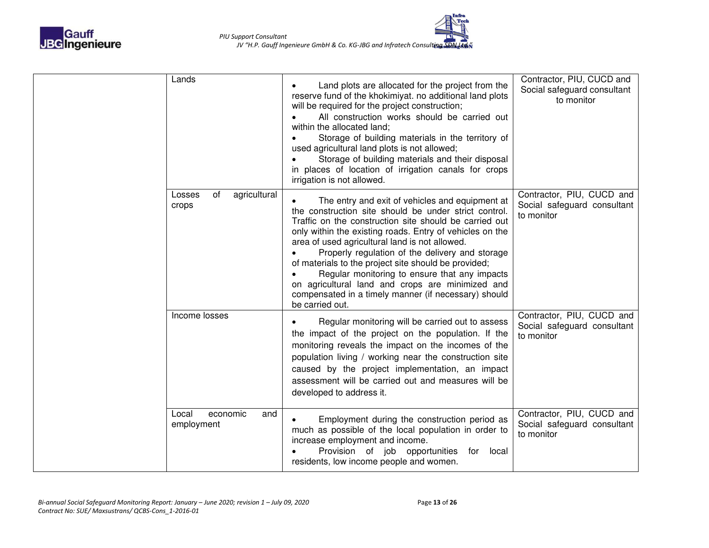

| Lands                                  | Land plots are allocated for the project from the<br>reserve fund of the khokimiyat. no additional land plots<br>will be required for the project construction;<br>All construction works should be carried out<br>within the allocated land;<br>Storage of building materials in the territory of<br>used agricultural land plots is not allowed;<br>Storage of building materials and their disposal<br>in places of location of irrigation canals for crops<br>irrigation is not allowed.                                                                                | Contractor, PIU, CUCD and<br>Social safeguard consultant<br>to monitor |
|----------------------------------------|-----------------------------------------------------------------------------------------------------------------------------------------------------------------------------------------------------------------------------------------------------------------------------------------------------------------------------------------------------------------------------------------------------------------------------------------------------------------------------------------------------------------------------------------------------------------------------|------------------------------------------------------------------------|
| agricultural<br>of<br>Losses<br>crops  | The entry and exit of vehicles and equipment at<br>the construction site should be under strict control.<br>Traffic on the construction site should be carried out<br>only within the existing roads. Entry of vehicles on the<br>area of used agricultural land is not allowed.<br>Properly regulation of the delivery and storage<br>of materials to the project site should be provided;<br>Regular monitoring to ensure that any impacts<br>on agricultural land and crops are minimized and<br>compensated in a timely manner (if necessary) should<br>be carried out. | Contractor, PIU, CUCD and<br>Social safeguard consultant<br>to monitor |
| Income losses                          | Regular monitoring will be carried out to assess<br>the impact of the project on the population. If the<br>monitoring reveals the impact on the incomes of the<br>population living / working near the construction site<br>caused by the project implementation, an impact<br>assessment will be carried out and measures will be<br>developed to address it.                                                                                                                                                                                                              | Contractor, PIU, CUCD and<br>Social safeguard consultant<br>to monitor |
| Local<br>economic<br>and<br>employment | Employment during the construction period as<br>much as possible of the local population in order to<br>increase employment and income.<br>Provision of job opportunities<br>for<br>local<br>residents, low income people and women.                                                                                                                                                                                                                                                                                                                                        | Contractor, PIU, CUCD and<br>Social safeguard consultant<br>to monitor |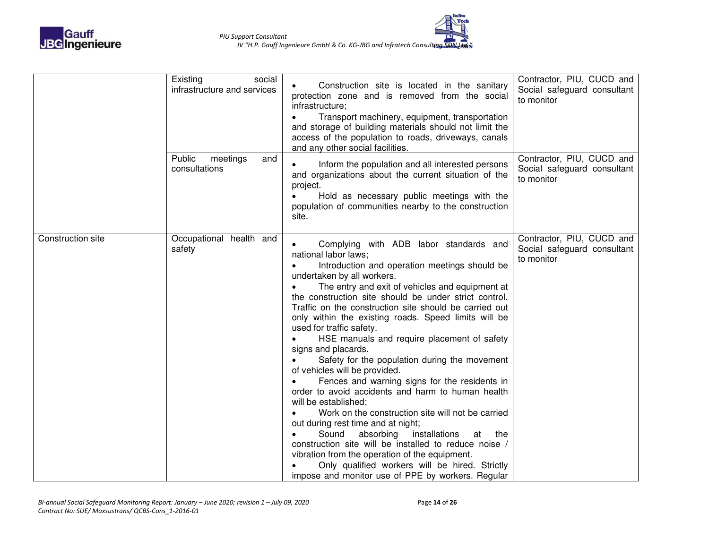

|                   | Existing<br>social<br>infrastructure and services | Construction site is located in the sanitary<br>protection zone and is removed from the social<br>infrastructure;<br>Transport machinery, equipment, transportation<br>and storage of building materials should not limit the<br>access of the population to roads, driveways, canals<br>and any other social facilities.                                                                                                                                                                                                                                                                                                                                                                                                                                                                                                                                                                                                                                                                                                                                      | Contractor, PIU, CUCD and<br>Social safeguard consultant<br>to monitor |
|-------------------|---------------------------------------------------|----------------------------------------------------------------------------------------------------------------------------------------------------------------------------------------------------------------------------------------------------------------------------------------------------------------------------------------------------------------------------------------------------------------------------------------------------------------------------------------------------------------------------------------------------------------------------------------------------------------------------------------------------------------------------------------------------------------------------------------------------------------------------------------------------------------------------------------------------------------------------------------------------------------------------------------------------------------------------------------------------------------------------------------------------------------|------------------------------------------------------------------------|
|                   | Public<br>meetings<br>and<br>consultations        | Inform the population and all interested persons<br>and organizations about the current situation of the<br>project.<br>Hold as necessary public meetings with the<br>population of communities nearby to the construction<br>site.                                                                                                                                                                                                                                                                                                                                                                                                                                                                                                                                                                                                                                                                                                                                                                                                                            | Contractor, PIU, CUCD and<br>Social safeguard consultant<br>to monitor |
| Construction site | Occupational health and<br>safety                 | Complying with ADB labor standards and<br>national labor laws;<br>Introduction and operation meetings should be<br>undertaken by all workers.<br>The entry and exit of vehicles and equipment at<br>the construction site should be under strict control.<br>Traffic on the construction site should be carried out<br>only within the existing roads. Speed limits will be<br>used for traffic safety.<br>HSE manuals and require placement of safety<br>signs and placards.<br>Safety for the population during the movement<br>of vehicles will be provided.<br>Fences and warning signs for the residents in<br>order to avoid accidents and harm to human health<br>will be established;<br>Work on the construction site will not be carried<br>out during rest time and at night;<br>Sound<br>absorbing<br>installations<br>at<br>the<br>construction site will be installed to reduce noise /<br>vibration from the operation of the equipment.<br>Only qualified workers will be hired. Strictly<br>impose and monitor use of PPE by workers. Regular | Contractor, PIU, CUCD and<br>Social safeguard consultant<br>to monitor |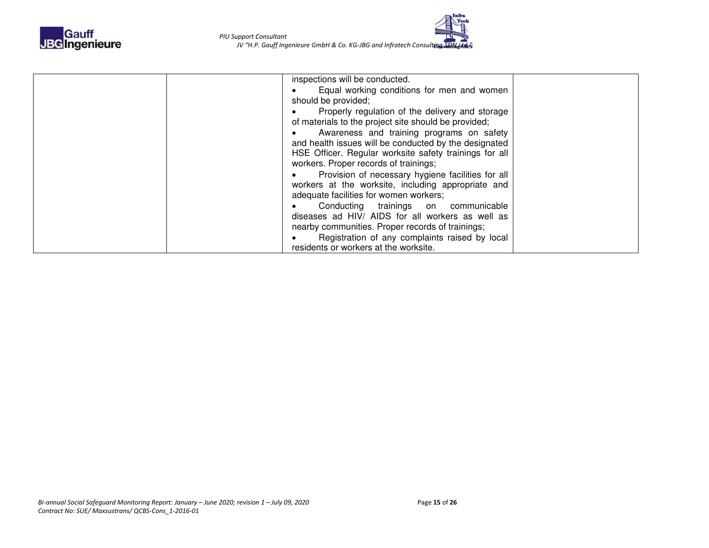

| inspections will be conducted.                         |  |
|--------------------------------------------------------|--|
| Equal working conditions for men and women             |  |
| should be provided;                                    |  |
| Properly regulation of the delivery and storage        |  |
| of materials to the project site should be provided;   |  |
| Awareness and training programs on safety              |  |
| and health issues will be conducted by the designated  |  |
| HSE Officer. Regular worksite safety trainings for all |  |
| workers. Proper records of trainings;                  |  |
| Provision of necessary hygiene facilities for all      |  |
| workers at the worksite, including appropriate and     |  |
| adequate facilities for women workers;                 |  |
| Conducting trainings on communicable                   |  |
| diseases ad HIV/ AIDS for all workers as well as       |  |
| nearby communities. Proper records of trainings;       |  |
| Registration of any complaints raised by local         |  |
| residents or workers at the worksite.                  |  |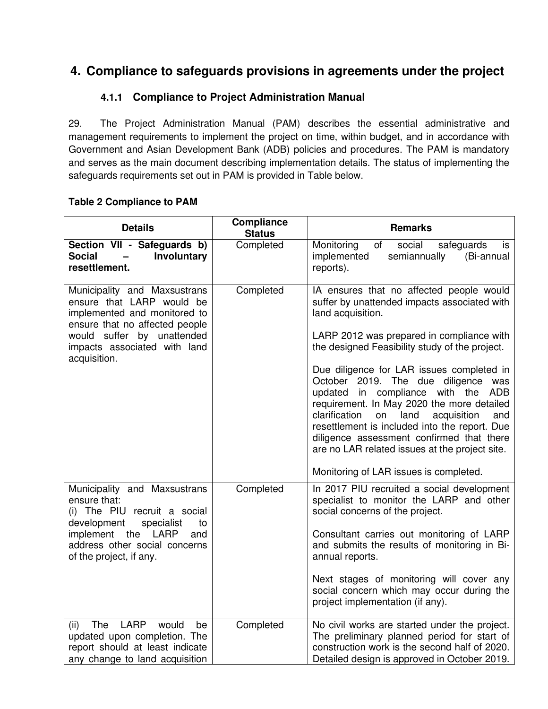### <span id="page-14-1"></span><span id="page-14-0"></span>**4. Compliance to safeguards provisions in agreements under the project**

#### **4.1.1 Compliance to Project Administration Manual**

29. The Project Administration Manual (PAM) describes the essential administrative and management requirements to implement the project on time, within budget, and in accordance with Government and Asian Development Bank (ADB) policies and procedures. The PAM is mandatory and serves as the main document describing implementation details. The status of implementing the safeguards requirements set out in PAM is provided in Table below.

# **Table 2 Compliance to PAM**

| <b>Details</b>                                                                                                                                                                                            | <b>Compliance</b><br><b>Status</b> | <b>Remarks</b>                                                                                                                                                                                                                                                                                                                                                                                                                                                                                                                                                                                                                         |  |
|-----------------------------------------------------------------------------------------------------------------------------------------------------------------------------------------------------------|------------------------------------|----------------------------------------------------------------------------------------------------------------------------------------------------------------------------------------------------------------------------------------------------------------------------------------------------------------------------------------------------------------------------------------------------------------------------------------------------------------------------------------------------------------------------------------------------------------------------------------------------------------------------------------|--|
| Section VII - Safeguards b)<br><b>Social</b><br>Involuntary<br>$\overline{\phantom{0}}$<br>resettlement.                                                                                                  | Completed                          | Monitoring<br>social<br>of<br>safeguards<br>is<br>implemented<br>semiannually<br>(Bi-annual<br>reports).                                                                                                                                                                                                                                                                                                                                                                                                                                                                                                                               |  |
| Municipality and Maxsustrans<br>ensure that LARP would be<br>implemented and monitored to<br>ensure that no affected people<br>would suffer by unattended<br>impacts associated with land<br>acquisition. | Completed                          | IA ensures that no affected people would<br>suffer by unattended impacts associated with<br>land acquisition.<br>LARP 2012 was prepared in compliance with<br>the designed Feasibility study of the project.<br>Due diligence for LAR issues completed in<br>October 2019. The due diligence was<br>updated in compliance with the<br>ADB<br>requirement. In May 2020 the more detailed<br>clarification<br>acquisition<br>on<br>land<br>and<br>resettlement is included into the report. Due<br>diligence assessment confirmed that there<br>are no LAR related issues at the project site.<br>Monitoring of LAR issues is completed. |  |
| Municipality and Maxsustrans<br>ensure that:<br>(i) The PIU recruit a social<br>development<br>specialist<br>to<br>implement the LARP<br>and<br>address other social concerns<br>of the project, if any.  | Completed                          | In 2017 PIU recruited a social development<br>specialist to monitor the LARP and other<br>social concerns of the project.<br>Consultant carries out monitoring of LARP<br>and submits the results of monitoring in Bi-<br>annual reports.<br>Next stages of monitoring will cover any<br>social concern which may occur during the<br>project implementation (if any).                                                                                                                                                                                                                                                                 |  |
| <b>LARP</b><br><b>The</b><br>(ii)<br>would<br>be<br>updated upon completion. The<br>report should at least indicate<br>any change to land acquisition                                                     | Completed                          | No civil works are started under the project.<br>The preliminary planned period for start of<br>construction work is the second half of 2020.<br>Detailed design is approved in October 2019.                                                                                                                                                                                                                                                                                                                                                                                                                                          |  |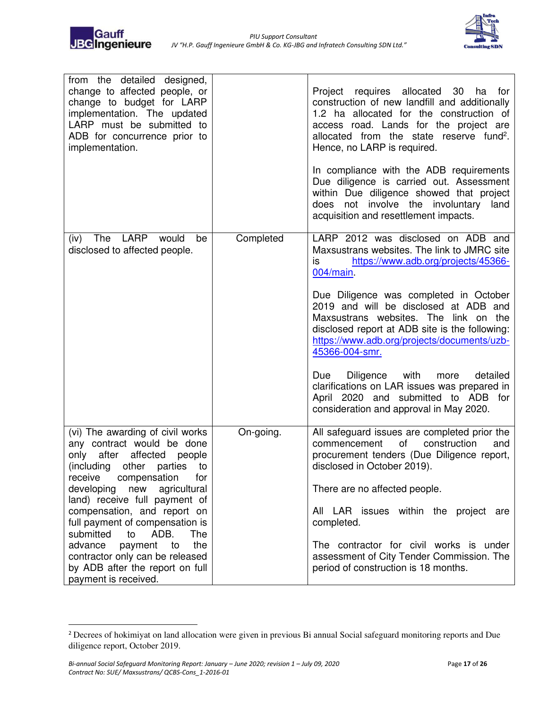



| from the detailed designed,<br>change to affected people, or<br>change to budget for LARP<br>implementation. The updated<br>LARP must be submitted to<br>ADB for concurrence prior to<br>implementation.                                          |           | Project requires allocated<br>30<br>ha<br>for t<br>construction of new landfill and additionally<br>1.2 ha allocated for the construction of<br>access road. Lands for the project are<br>allocated from the state reserve fund <sup>2</sup> .<br>Hence, no LARP is required.<br>In compliance with the ADB requirements<br>Due diligence is carried out. Assessment<br>within Due diligence showed that project<br>not involve the involuntary<br>does<br>land<br>acquisition and resettlement impacts. |
|---------------------------------------------------------------------------------------------------------------------------------------------------------------------------------------------------------------------------------------------------|-----------|----------------------------------------------------------------------------------------------------------------------------------------------------------------------------------------------------------------------------------------------------------------------------------------------------------------------------------------------------------------------------------------------------------------------------------------------------------------------------------------------------------|
| LARP<br>The<br>would<br>(iv)<br>be<br>disclosed to affected people.                                                                                                                                                                               | Completed | LARP 2012 was disclosed on ADB and<br>Maxsustrans websites. The link to JMRC site<br>is<br>https://www.adb.org/projects/45366-<br>$004/main$ .<br>Due Diligence was completed in October<br>2019 and will be disclosed at ADB and<br>Maxsustrans websites. The link on the<br>disclosed report at ADB site is the following:                                                                                                                                                                             |
|                                                                                                                                                                                                                                                   |           | https://www.adb.org/projects/documents/uzb-<br>45366-004-smr.<br>with<br>detailed<br>Due<br><b>Diligence</b><br>more<br>clarifications on LAR issues was prepared in<br>April 2020 and submitted to ADB for<br>consideration and approval in May 2020.                                                                                                                                                                                                                                                   |
| (vi) The awarding of civil works<br>any contract would be done<br>after<br>affected people<br>only<br>(including<br>other parties<br>to t<br>receive<br>compensation<br>for<br>developing<br>new<br>agricultural<br>land) receive full payment of | On-going. | All safeguard issues are completed prior the<br>commencement<br>of<br>construction<br>and<br>procurement tenders (Due Diligence report,<br>disclosed in October 2019).<br>There are no affected people.                                                                                                                                                                                                                                                                                                  |
| compensation, and report on<br>full payment of compensation is<br>submitted<br>ADB.<br>to<br>The<br>the<br>advance<br>payment<br>to<br>contractor only can be released<br>by ADB after the report on full<br>payment is received.                 |           | All LAR issues within the project<br>are<br>completed.<br>The contractor for civil works is under<br>assessment of City Tender Commission. The<br>period of construction is 18 months.                                                                                                                                                                                                                                                                                                                   |

<sup>&</sup>lt;sup>2</sup> Decrees of hokimiyat on land allocation were given in previous Bi annual Social safeguard monitoring reports and Due diligence report, October 2019.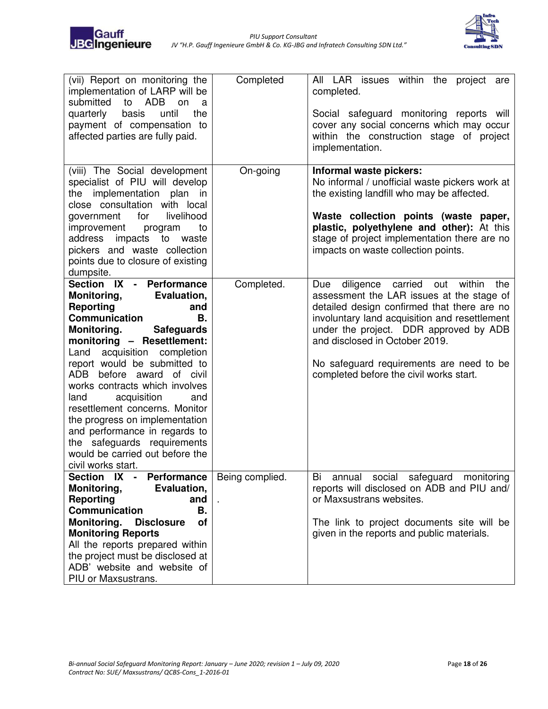

| (vii) Report on monitoring the<br>implementation of LARP will be<br>submitted<br>to ADB<br>on<br>a<br>basis<br>until<br>the<br>quarterly<br>payment of compensation to<br>affected parties are fully paid.                                                                                                                                                                                                                                                                                                                                                  | Completed       | All LAR issues within the project are<br>completed.<br>Social safeguard monitoring reports will<br>cover any social concerns which may occur<br>within the construction stage of project<br>implementation.                                                                                                                                                      |
|-------------------------------------------------------------------------------------------------------------------------------------------------------------------------------------------------------------------------------------------------------------------------------------------------------------------------------------------------------------------------------------------------------------------------------------------------------------------------------------------------------------------------------------------------------------|-----------------|------------------------------------------------------------------------------------------------------------------------------------------------------------------------------------------------------------------------------------------------------------------------------------------------------------------------------------------------------------------|
| (viii) The Social development<br>specialist of PIU will develop<br>the implementation plan in<br>close consultation with local<br>livelihood<br>for<br>government<br>improvement<br>to<br>program<br>address<br>impacts to<br>waste<br>pickers and waste collection<br>points due to closure of existing<br>dumpsite.                                                                                                                                                                                                                                       | On-going        | Informal waste pickers:<br>No informal / unofficial waste pickers work at<br>the existing landfill who may be affected.<br>Waste collection points (waste paper,<br>plastic, polyethylene and other): At this<br>stage of project implementation there are no<br>impacts on waste collection points.                                                             |
| Section IX - Performance<br><b>Monitoring,</b><br>Evaluation,<br>Reporting<br>and<br>Communication<br><b>B.</b><br><b>Monitoring.</b><br><b>Safeguards</b><br>monitoring - Resettlement:<br>acquisition completion<br>Land<br>report would be submitted to<br>before award<br>ADB.<br>of civil<br>works contracts which involves<br>acquisition<br>land<br>and<br>resettlement concerns. Monitor<br>the progress on implementation<br>and performance in regards to<br>the safeguards requirements<br>would be carried out before the<br>civil works start. | Completed.      | diligence carried<br>within<br>Due<br>out<br>the<br>assessment the LAR issues at the stage of<br>detailed design confirmed that there are no<br>involuntary land acquisition and resettlement<br>under the project. DDR approved by ADB<br>and disclosed in October 2019.<br>No safeguard requirements are need to be<br>completed before the civil works start. |
| Section IX -<br>Performance<br>Monitoring,<br>Evaluation,<br>Reporting<br>and<br>Communication<br>В.<br>Monitoring.<br><b>Disclosure</b><br>оf<br><b>Monitoring Reports</b><br>All the reports prepared within<br>the project must be disclosed at<br>ADB' website and website of<br>PIU or Maxsustrans.                                                                                                                                                                                                                                                    | Being complied. | annual social safeguard monitoring<br>Bi<br>reports will disclosed on ADB and PIU and/<br>or Maxsustrans websites.<br>The link to project documents site will be<br>given in the reports and public materials.                                                                                                                                                   |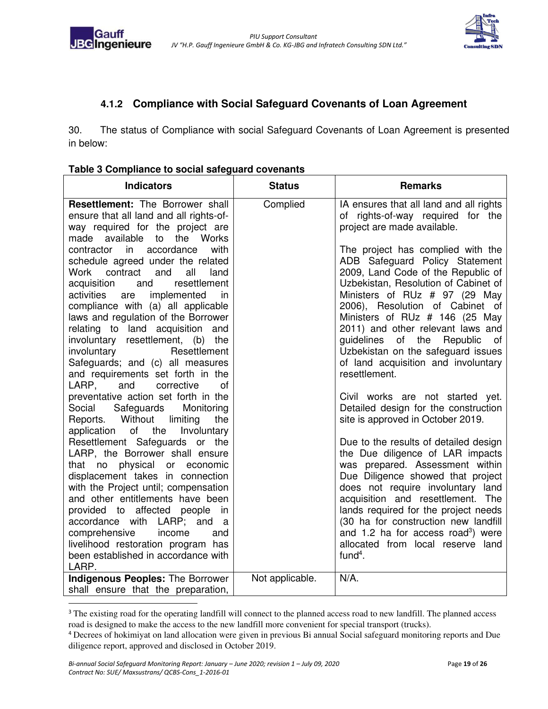



#### <span id="page-17-0"></span>**4.1.2 Compliance with Social Safeguard Covenants of Loan Agreement**

30. The status of Compliance with social Safeguard Covenants of Loan Agreement is presented in below:

| <b>Indicators</b>                                                                                                                                                                                                                                                                                                                                                                                                                                                                                                                                                                                                                                            | <b>Status</b>   | <b>Remarks</b>                                                                                                                                                                                                                                                                                                                                                                                                                                                                                                                                               |
|--------------------------------------------------------------------------------------------------------------------------------------------------------------------------------------------------------------------------------------------------------------------------------------------------------------------------------------------------------------------------------------------------------------------------------------------------------------------------------------------------------------------------------------------------------------------------------------------------------------------------------------------------------------|-----------------|--------------------------------------------------------------------------------------------------------------------------------------------------------------------------------------------------------------------------------------------------------------------------------------------------------------------------------------------------------------------------------------------------------------------------------------------------------------------------------------------------------------------------------------------------------------|
| <b>Resettlement:</b> The Borrower shall<br>ensure that all land and all rights-of-<br>way required for the project are<br>made available<br>the Works<br>to<br>in<br>accordance<br>with<br>contractor<br>schedule agreed under the related<br>contract<br>Work<br>and<br>all<br>land<br>resettlement<br>acquisition<br>and<br>activities<br>implemented<br>in<br>are<br>compliance with (a) all applicable<br>laws and regulation of the Borrower<br>relating to land acquisition and<br>involuntary resettlement, (b) the<br>Resettlement<br>involuntary<br>Safeguards; and (c) all measures                                                                | Complied        | IA ensures that all land and all rights<br>of rights-of-way required for the<br>project are made available.<br>The project has complied with the<br>ADB Safeguard Policy Statement<br>2009, Land Code of the Republic of<br>Uzbekistan, Resolution of Cabinet of<br>Ministers of RUz # 97 (29 May<br>2006), Resolution of Cabinet of<br>Ministers of RUz # 146 (25 May<br>2011) and other relevant laws and<br>guidelines<br>of the<br>Republic<br>0f<br>Uzbekistan on the safeguard issues<br>of land acquisition and involuntary                           |
| and requirements set forth in the<br>corrective<br>LARP,<br>and<br>οf<br>preventative action set forth in the<br>Safeguards<br>Monitoring<br>Social<br>Without<br>Reports.<br>limiting<br>the<br>of the<br>application<br>Involuntary<br>Resettlement Safeguards or the<br>LARP, the Borrower shall ensure<br>that no physical or economic<br>displacement takes in connection<br>with the Project until; compensation<br>and other entitlements have been<br>provided to affected people<br>in<br>accordance with<br>LARP; and<br>a<br>comprehensive<br>income<br>and<br>livelihood restoration program has<br>been established in accordance with<br>LARP. |                 | resettlement.<br>Civil works are not started yet.<br>Detailed design for the construction<br>site is approved in October 2019.<br>Due to the results of detailed design<br>the Due diligence of LAR impacts<br>was prepared. Assessment within<br>Due Diligence showed that project<br>does not require involuntary land<br>acquisition and resettlement. The<br>lands required for the project needs<br>(30 ha for construction new landfill<br>and 1.2 ha for access road <sup>3</sup> ) were<br>allocated from local reserve land<br>$fund4$ .<br>$N/A$ . |
| <b>Indigenous Peoples: The Borrower</b><br>shall ensure that the preparation,                                                                                                                                                                                                                                                                                                                                                                                                                                                                                                                                                                                | Not applicable. |                                                                                                                                                                                                                                                                                                                                                                                                                                                                                                                                                              |

<sup>&</sup>lt;sup>3</sup> The existing road for the operating landfill will connect to the planned access road to new landfill. The planned access road is designed to make the access to the new landfill more convenient for special transport (trucks).

<sup>4</sup> Decrees of hokimiyat on land allocation were given in previous Bi annual Social safeguard monitoring reports and Due diligence report, approved and disclosed in October 2019.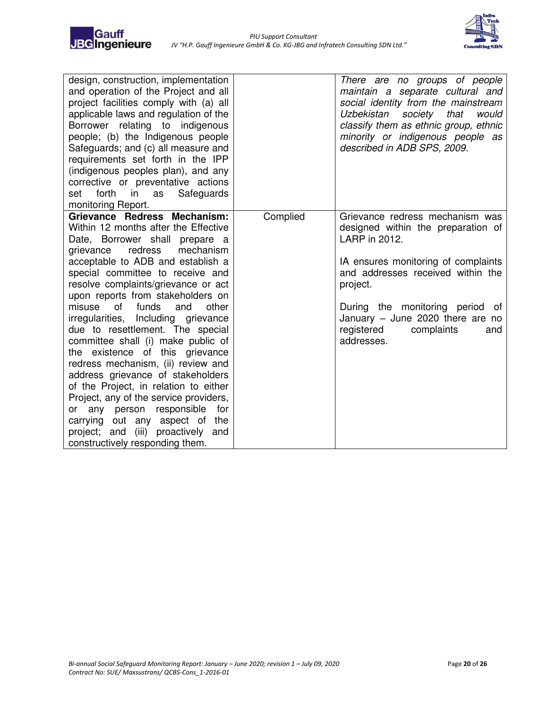

| design, construction, implementation<br>and operation of the Project and all<br>project facilities comply with (a) all<br>applicable laws and regulation of the<br>Borrower relating<br>to indigenous<br>people; (b) the Indigenous people<br>Safeguards; and (c) all measure and<br>requirements set forth in the IPP<br>(indigenous peoples plan), and any<br>corrective or preventative actions<br>forth<br>in<br>Safeguards<br>set<br>as<br>monitoring Report.                                                                                                                                                                                                                                                                                                                                               |          | There are no groups of people<br>maintain a separate cultural and<br>social identity from the mainstream<br>Uzbekistan<br>society<br>that<br>would<br>classify them as ethnic group, ethnic<br>minority or indigenous people as<br>described in ADB SPS, 2009.                                              |
|------------------------------------------------------------------------------------------------------------------------------------------------------------------------------------------------------------------------------------------------------------------------------------------------------------------------------------------------------------------------------------------------------------------------------------------------------------------------------------------------------------------------------------------------------------------------------------------------------------------------------------------------------------------------------------------------------------------------------------------------------------------------------------------------------------------|----------|-------------------------------------------------------------------------------------------------------------------------------------------------------------------------------------------------------------------------------------------------------------------------------------------------------------|
| Grievance Redress Mechanism:<br>Within 12 months after the Effective<br>Date, Borrower shall prepare a<br>redress<br>mechanism<br>grievance<br>acceptable to ADB and establish a<br>special committee to receive and<br>resolve complaints/grievance or act<br>upon reports from stakeholders on<br>funds<br>other<br>misuse<br>of<br>and<br>irregularities, Including grievance<br>due to resettlement. The special<br>committee shall (i) make public of<br>the existence of this grievance<br>redress mechanism, (ii) review and<br>address grievance of stakeholders<br>of the Project, in relation to either<br>Project, any of the service providers,<br>or any person responsible<br>for<br>carrying out any aspect of<br>the<br>project; and (iii) proactively<br>and<br>constructively responding them. | Complied | Grievance redress mechanism was<br>designed within the preparation of<br>LARP in 2012.<br>IA ensures monitoring of complaints<br>and addresses received within the<br>project.<br>During the monitoring period<br>of<br>January $-$ June 2020 there are no<br>registered<br>complaints<br>and<br>addresses. |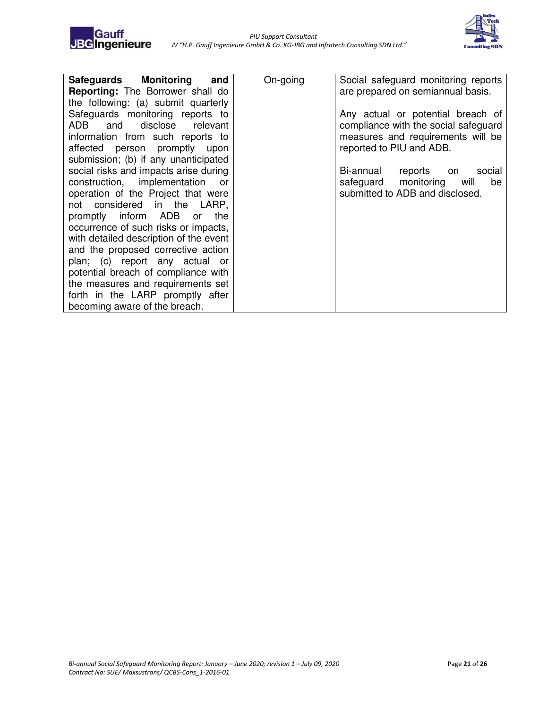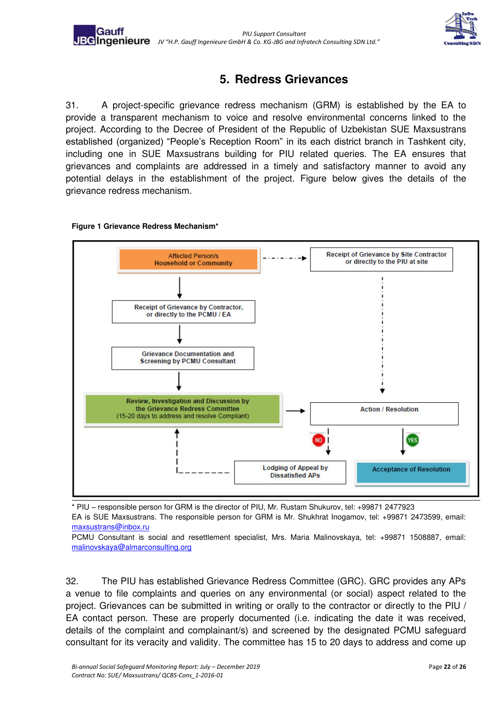

## **5. Redress Grievances**

<span id="page-20-0"></span>31. A project-specific grievance redress mechanism (GRM) is established by the EA to provide a transparent mechanism to voice and resolve environmental concerns linked to the project. According to the Decree of President of the Republic of Uzbekistan SUE Maxsustrans established (organized) "People's Reception Room" in its each district branch in Tashkent city, including one in SUE Maxsustrans building for PIU related queries. The EA ensures that grievances and complaints are addressed in a timely and satisfactory manner to avoid any potential delays in the establishment of the project. Figure below gives the details of the grievance redress mechanism.





\* PIU – responsible person for GRM is the director of PIU, Mr. Rustam Shukurov, tel: +99871 2477923

EA is SUE Maxsustrans. The responsible person for GRM is Mr. Shukhrat Inogamov, tel: +99871 2473599, email: [maxsustrans@inbox.ru](mailto:maxsustrans@inbox.ru) 

PCMU Consultant is social and resettlement specialist, Mrs. Maria Malinovskaya, tel: +99871 1508887, email: [malinovskaya@almarconsulting.org](mailto:malinovskaya@almarconsulting.org) 

32. The PIU has established Grievance Redress Committee (GRC). GRC provides any APs a venue to file complaints and queries on any environmental (or social) aspect related to the project. Grievances can be submitted in writing or orally to the contractor or directly to the PIU / EA contact person. These are properly documented (i.e. indicating the date it was received, details of the complaint and complainant/s) and screened by the designated PCMU safeguard consultant for its veracity and validity. The committee has 15 to 20 days to address and come up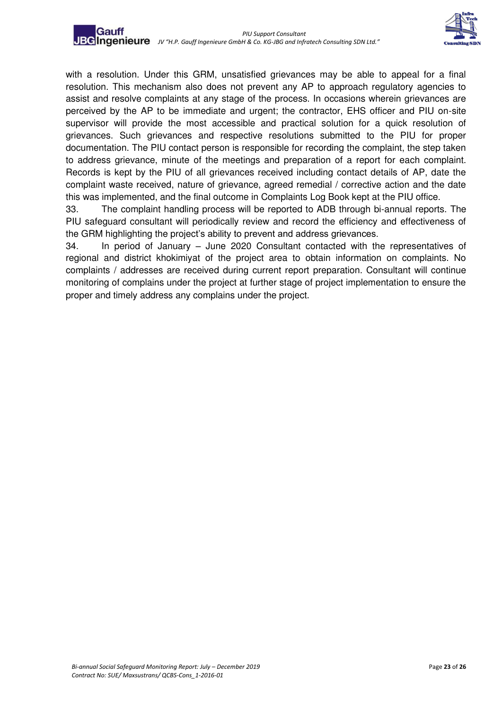

with a resolution. Under this GRM, unsatisfied grievances may be able to appeal for a final resolution. This mechanism also does not prevent any AP to approach regulatory agencies to assist and resolve complaints at any stage of the process. In occasions wherein grievances are perceived by the AP to be immediate and urgent; the contractor, EHS officer and PIU on-site supervisor will provide the most accessible and practical solution for a quick resolution of grievances. Such grievances and respective resolutions submitted to the PIU for proper documentation. The PIU contact person is responsible for recording the complaint, the step taken to address grievance, minute of the meetings and preparation of a report for each complaint. Records is kept by the PIU of all grievances received including contact details of AP, date the complaint waste received, nature of grievance, agreed remedial / corrective action and the date this was implemented, and the final outcome in Complaints Log Book kept at the PIU office.

33. The complaint handling process will be reported to ADB through bi-annual reports. The PIU safeguard consultant will periodically review and record the efficiency and effectiveness of the GRM highlighting the project's ability to prevent and address grievances.

34. In period of January – June 2020 Consultant contacted with the representatives of regional and district khokimiyat of the project area to obtain information on complaints. No complaints / addresses are received during current report preparation. Consultant will continue monitoring of complains under the project at further stage of project implementation to ensure the proper and timely address any complains under the project.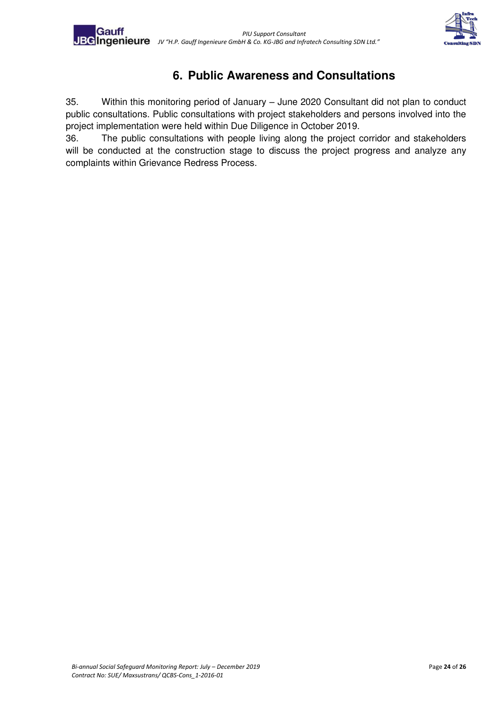

## **6. Public Awareness and Consultations**

<span id="page-22-0"></span>35. Within this monitoring period of January – June 2020 Consultant did not plan to conduct public consultations. Public consultations with project stakeholders and persons involved into the project implementation were held within Due Diligence in October 2019.

36. The public consultations with people living along the project corridor and stakeholders will be conducted at the construction stage to discuss the project progress and analyze any complaints within Grievance Redress Process.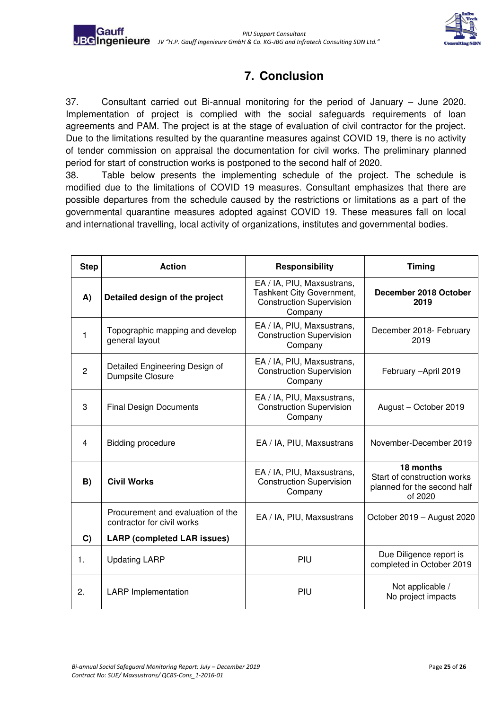

# **7. Conclusion**

<span id="page-23-0"></span>37. Consultant carried out Bi-annual monitoring for the period of January – June 2020. Implementation of project is complied with the social safeguards requirements of loan agreements and PAM. The project is at the stage of evaluation of civil contractor for the project. Due to the limitations resulted by the quarantine measures against COVID 19, there is no activity of tender commission on appraisal the documentation for civil works. The preliminary planned period for start of construction works is postponed to the second half of 2020.

38. Table below presents the implementing schedule of the project. The schedule is modified due to the limitations of COVID 19 measures. Consultant emphasizes that there are possible departures from the schedule caused by the restrictions or limitations as a part of the governmental quarantine measures adopted against COVID 19. These measures fall on local and international travelling, local activity of organizations, institutes and governmental bodies.

| <b>Step</b>    | <b>Action</b>                                                   | <b>Responsibility</b>                                                                                 | <b>Timing</b>                                                                      |
|----------------|-----------------------------------------------------------------|-------------------------------------------------------------------------------------------------------|------------------------------------------------------------------------------------|
| A)             | Detailed design of the project                                  | EA / IA, PIU, Maxsustrans,<br>Tashkent City Government,<br><b>Construction Supervision</b><br>Company | December 2018 October<br>2019                                                      |
| 1              | Topographic mapping and develop<br>general layout               | EA / IA, PIU, Maxsustrans,<br><b>Construction Supervision</b><br>Company                              | December 2018- February<br>2019                                                    |
| $\overline{2}$ | Detailed Engineering Design of<br>Dumpsite Closure              | EA / IA, PIU, Maxsustrans,<br><b>Construction Supervision</b><br>Company                              | February - April 2019                                                              |
| 3              | <b>Final Design Documents</b>                                   | EA / IA, PIU, Maxsustrans,<br><b>Construction Supervision</b><br>Company                              | August - October 2019                                                              |
| 4              | <b>Bidding procedure</b>                                        | EA / IA, PIU, Maxsustrans                                                                             | November-December 2019                                                             |
| B)             | <b>Civil Works</b>                                              | EA / IA, PIU, Maxsustrans,<br><b>Construction Supervision</b><br>Company                              | 18 months<br>Start of construction works<br>planned for the second half<br>of 2020 |
|                | Procurement and evaluation of the<br>contractor for civil works | EA / IA, PIU, Maxsustrans                                                                             | October 2019 - August 2020                                                         |
| C)             | <b>LARP (completed LAR issues)</b>                              |                                                                                                       |                                                                                    |
| 1.             | <b>Updating LARP</b>                                            | PIU                                                                                                   | Due Diligence report is<br>completed in October 2019                               |
| 2.             | <b>LARP</b> Implementation                                      | PIU                                                                                                   | Not applicable /<br>No project impacts                                             |